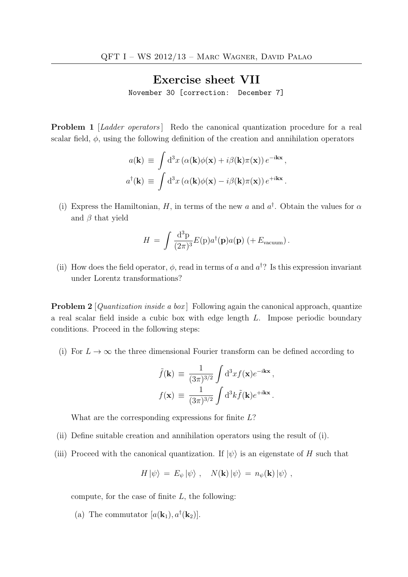## Exercise sheet VII

November 30 [correction: December 7]

**Problem 1** [Ladder operators] Redo the canonical quantization procedure for a real scalar field,  $\phi$ , using the following definition of the creation and annihilation operators

$$
a(\mathbf{k}) \equiv \int d^3x \left( \alpha(\mathbf{k}) \phi(\mathbf{x}) + i \beta(\mathbf{k}) \pi(\mathbf{x}) \right) e^{-i\mathbf{k}\mathbf{x}},
$$

$$
a^{\dagger}(\mathbf{k}) \equiv \int d^3x \left( \alpha(\mathbf{k}) \phi(\mathbf{x}) - i \beta(\mathbf{k}) \pi(\mathbf{x}) \right) e^{+i\mathbf{k}\mathbf{x}}.
$$

(i) Express the Hamiltonian, H, in terms of the new a and  $a^{\dagger}$ . Obtain the values for  $\alpha$ and  $\beta$  that yield

$$
H = \int \frac{\mathrm{d}^3 \mathbf{p}}{(2\pi)^3} E(\mathbf{p}) a^{\dagger}(\mathbf{p}) a(\mathbf{p}) \left( + E_{\text{vacuum}} \right).
$$

(ii) How does the field operator,  $\phi$ , read in terms of a and  $a^{\dagger}$ ? Is this expression invariant under Lorentz transformations?

**Problem 2** [*Quantization inside a box*] Following again the canonical approach, quantize a real scalar field inside a cubic box with edge length L. Impose periodic boundary conditions. Proceed in the following steps:

(i) For  $L \to \infty$  the three dimensional Fourier transform can be defined according to

$$
\tilde{f}(\mathbf{k}) \equiv \frac{1}{(3\pi)^{3/2}} \int d^3x f(\mathbf{x}) e^{-i\mathbf{k}\mathbf{x}},
$$

$$
f(\mathbf{x}) \equiv \frac{1}{(3\pi)^{3/2}} \int d^3k \tilde{f}(\mathbf{k}) e^{+i\mathbf{k}\mathbf{x}}.
$$

What are the corresponding expressions for finite L?

- (ii) Define suitable creation and annihilation operators using the result of (i).
- (iii) Proceed with the canonical quantization. If  $|\psi\rangle$  is an eigenstate of H such that

$$
H |\psi\rangle = E_{\psi} |\psi\rangle , \quad N(\mathbf{k}) |\psi\rangle = n_{\psi}(\mathbf{k}) |\psi\rangle ,
$$

compute, for the case of finite  $L$ , the following:

(a) The commutator  $[a(\mathbf{k}_1), a^{\dagger}(\mathbf{k}_2)].$